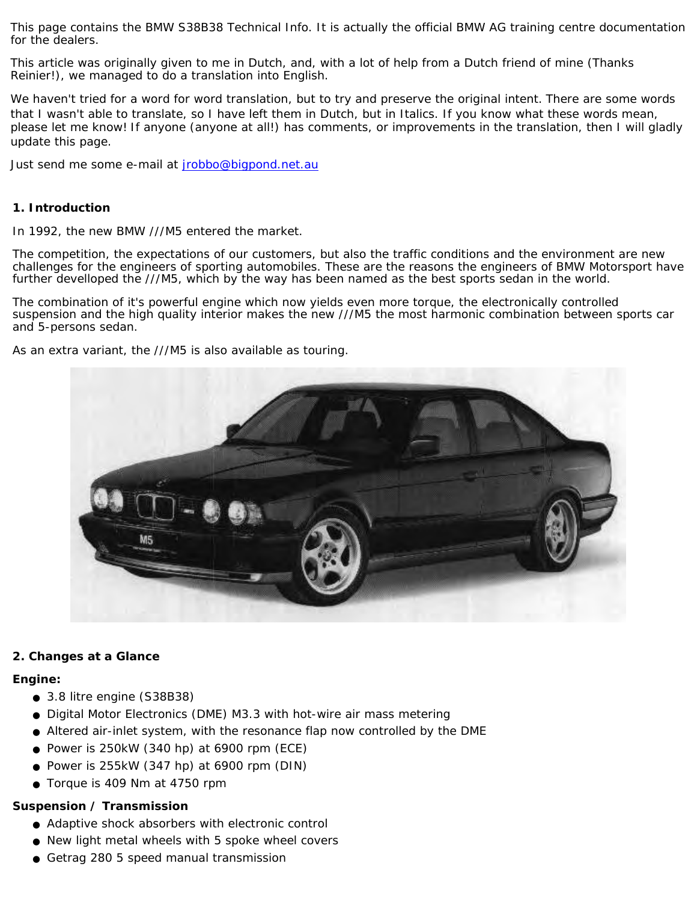This page contains the BMW S38B38 Technical Info. It is actually the official BMW AG training centre documentation for the dealers.

This article was originally given to me in Dutch, and, with a lot of help from a Dutch friend of mine (Thanks Reinier!), we managed to do a translation into English.

We haven't tried for a word for word translation, but to try and preserve the original intent. There are some words that I wasn't able to translate, so I have left them in Dutch, but in Italics. If you know what these words mean, please let me know! If anyone (anyone at all!) has comments, or improvements in the translation, then I will gladly update this page.

Just send me some e-mail at [jrobbo@bigpond.net.au](mailto:jrobbo@bigpond.net.au)

# **1. Introduction**

In 1992, the new BMW ///M5 entered the market.

The competition, the expectations of our customers, but also the traffic conditions and the environment are new challenges for the engineers of sporting automobiles. These are the reasons the engineers of BMW Motorsport have further develloped the ///M5, which by the way has been named as the best sports sedan in the world.

The combination of it's powerful engine which now yields even more torque, the electronically controlled suspension and the high quality interior makes the new ///M5 the most harmonic combination between sports car and 5-persons sedan.

As an extra variant, the ///M5 is also available as touring.



# **2. Changes at a Glance**

#### **Engine:**

- 3.8 litre engine (S38B38)
- Digital Motor Electronics (DME) M3.3 with hot-wire air mass metering
- Altered air-inlet system, with the resonance flap now controlled by the DME
- Power is  $250kW$  (340 hp) at 6900 rpm (ECE)
- Power is  $255kW$  (347 hp) at 6900 rpm (DIN)
- Torque is 409 Nm at 4750 rpm

# **Suspension / Transmission**

- Adaptive shock absorbers with electronic control
- New light metal wheels with 5 spoke wheel covers
- Getrag 280 5 speed manual transmission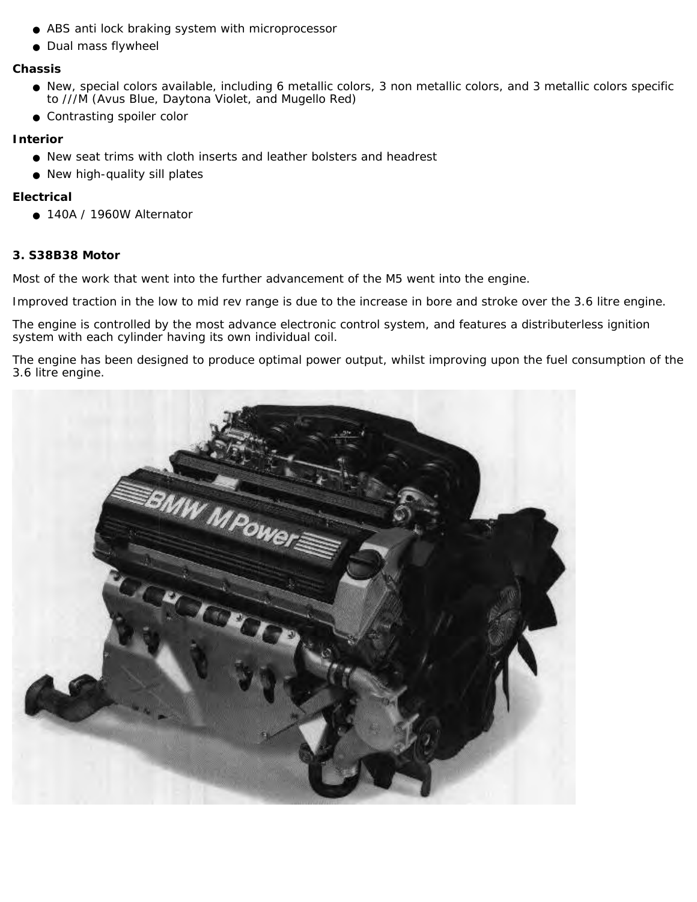- ABS anti lock braking system with microprocessor
- Dual mass flywheel

#### **Chassis**

- New, special colors available, including 6 metallic colors, 3 non metallic colors, and 3 metallic colors specific to ///M (Avus Blue, Daytona Violet, and Mugello Red)
- Contrasting spoiler color

# **Interior**

- New seat trims with cloth inserts and leather bolsters and headrest
- New high-quality sill plates

# **Electrical**

● 140A / 1960W Alternator

# **3. S38B38 Motor**

Most of the work that went into the further advancement of the M5 went into the engine.

Improved traction in the low to mid rev range is due to the increase in bore and stroke over the 3.6 litre engine.

The engine is controlled by the most advance electronic control system, and features a distributerless ignition system with each cylinder having its own individual coil.

The engine has been designed to produce optimal power output, whilst improving upon the fuel consumption of the 3.6 litre engine.

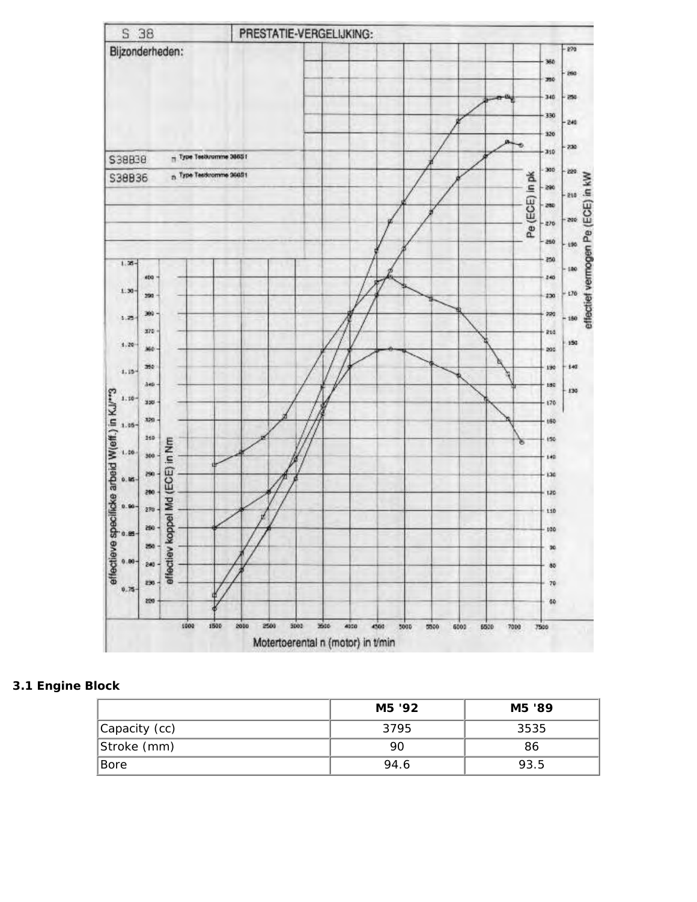

# **3.1 Engine Block**

|               | M5 '92 | M5 '89 |
|---------------|--------|--------|
| Capacity (cc) | 3795   | 3535   |
| Stroke (mm)   | 90     | 86     |
| Bore          | 94.6   | 93.5   |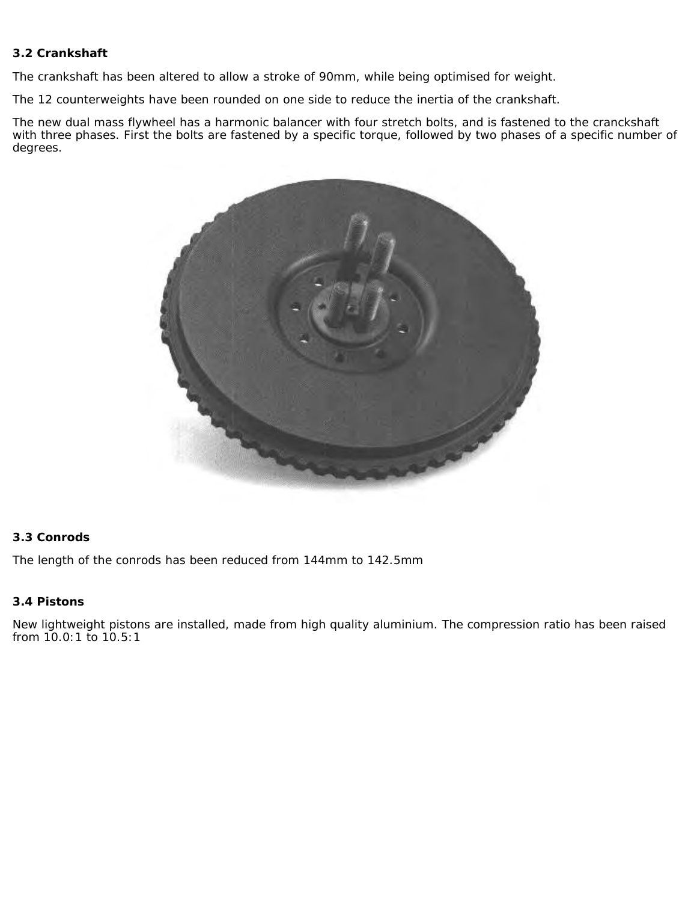# **3.2 Crankshaft**

The crankshaft has been altered to allow a stroke of 90mm, while being optimised for weight.

The 12 counterweights have been rounded on one side to reduce the inertia of the crankshaft.

The new dual mass flywheel has a harmonic balancer with four stretch bolts, and is fastened to the cranckshaft with three phases. First the bolts are fastened by a specific torque, followed by two phases of a specific number of degrees.



# **3.3 Conrods**

The length of the conrods has been reduced from 144mm to 142.5mm

# **3.4 Pistons**

New lightweight pistons are installed, made from high quality aluminium. The compression ratio has been raised from 10.0:1 to 10.5:1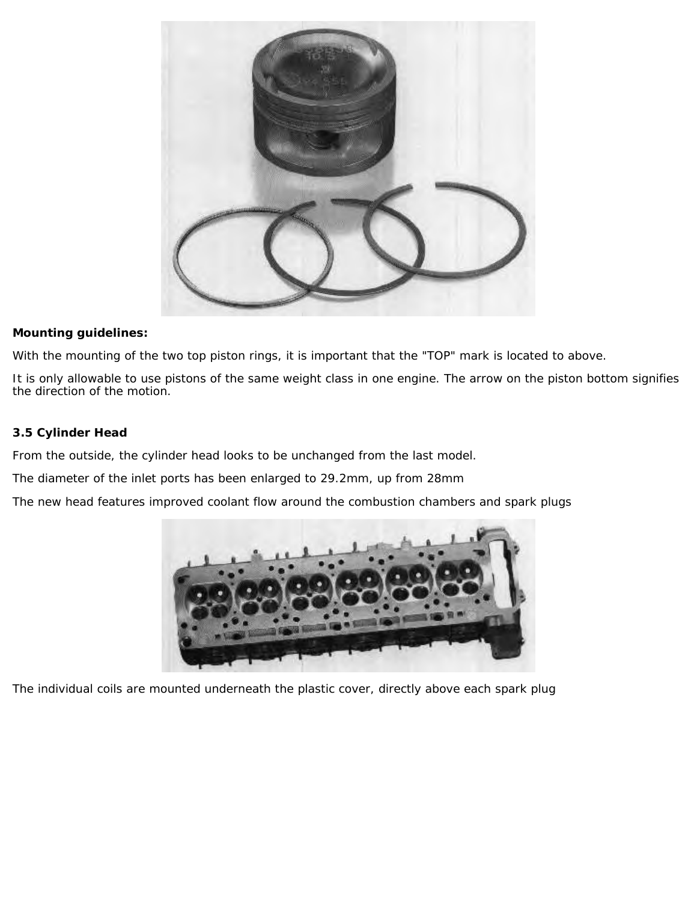

# **Mounting guidelines:**

With the mounting of the two top piston rings, it is important that the "TOP" mark is located to above.

It is only allowable to use pistons of the same weight class in one engine. The arrow on the piston bottom signifies the direction of the motion.

# **3.5 Cylinder Head**

From the outside, the cylinder head looks to be unchanged from the last model.

The diameter of the inlet ports has been enlarged to 29.2mm, up from 28mm

The new head features improved coolant flow around the combustion chambers and spark plugs



The individual coils are mounted underneath the plastic cover, directly above each spark plug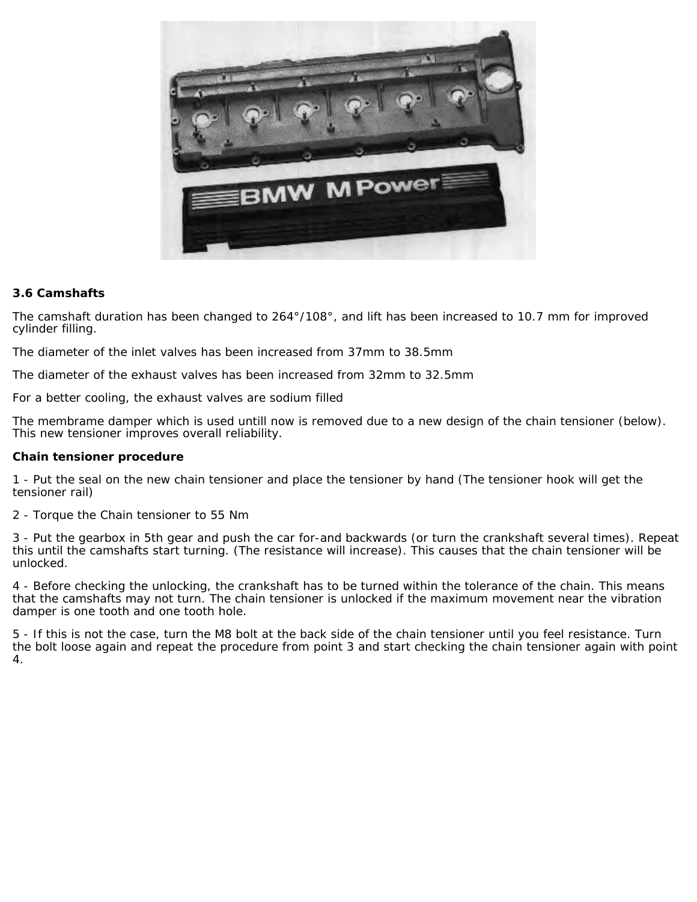

#### **3.6 Camshafts**

The camshaft duration has been changed to 264°/108°, and lift has been increased to 10.7 mm for improved cylinder filling.

The diameter of the inlet valves has been increased from 37mm to 38.5mm

The diameter of the exhaust valves has been increased from 32mm to 32.5mm

For a better cooling, the exhaust valves are sodium filled

The membrame damper which is used untill now is removed due to a new design of the chain tensioner (below). This new tensioner improves overall reliability.

#### **Chain tensioner procedure**

1 - Put the seal on the new chain tensioner and place the tensioner by hand (The tensioner hook will get the tensioner rail)

2 - Torque the Chain tensioner to 55 Nm

3 - Put the gearbox in 5th gear and push the car for-and backwards (or turn the crankshaft several times). Repeat this until the camshafts start turning. (The resistance will increase). This causes that the chain tensioner will be unlocked.

4 - Before checking the unlocking, the crankshaft has to be turned within the tolerance of the chain. This means that the camshafts may not turn. The chain tensioner is unlocked if the maximum movement near the vibration damper is one tooth and one tooth hole.

5 - If this is not the case, turn the M8 bolt at the back side of the chain tensioner until you feel resistance. Turn the bolt loose again and repeat the procedure from point 3 and start checking the chain tensioner again with point 4.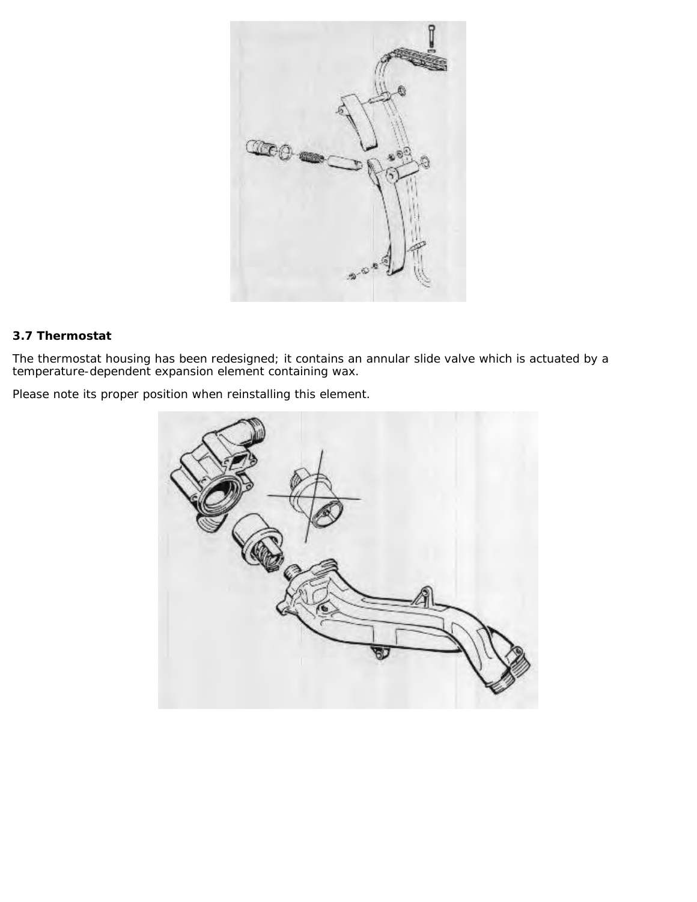

# **3.7 Thermostat**

The thermostat housing has been redesigned; it contains an annular slide valve which is actuated by a temperature-dependent expansion element containing wax.

Please note its proper position when reinstalling this element.

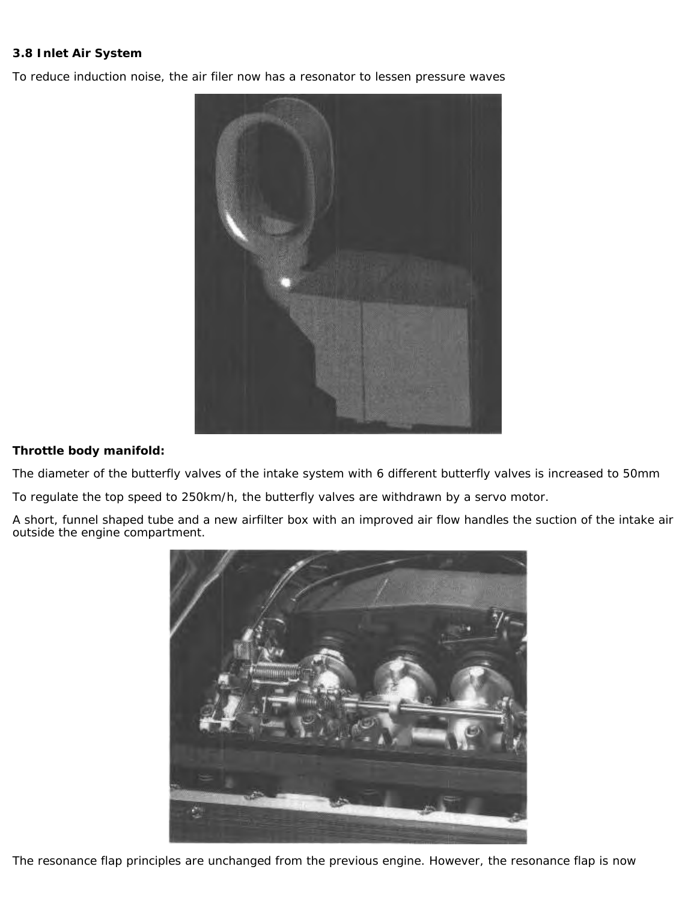# **3.8 Inlet Air System**

To reduce induction noise, the air filer now has a resonator to lessen pressure waves



# **Throttle body manifold:**

The diameter of the butterfly valves of the intake system with 6 different butterfly valves is increased to 50mm

To regulate the top speed to 250km/h, the butterfly valves are withdrawn by a servo motor.

A short, funnel shaped tube and a new airfilter box with an improved air flow handles the suction of the intake air outside the engine compartment.



The resonance flap principles are unchanged from the previous engine. However, the resonance flap is now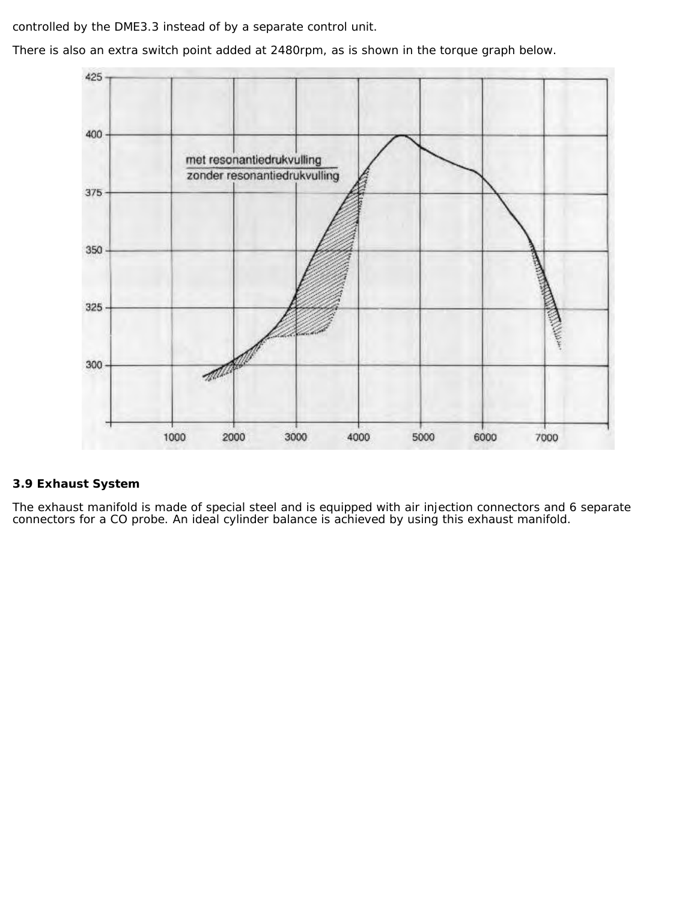controlled by the DME3.3 instead of by a separate control unit.

There is also an extra switch point added at 2480rpm, as is shown in the torque graph below.



# **3.9 Exhaust System**

The exhaust manifold is made of special steel and is equipped with air injection connectors and 6 separate connectors for a CO probe. An ideal cylinder balance is achieved by using this exhaust manifold.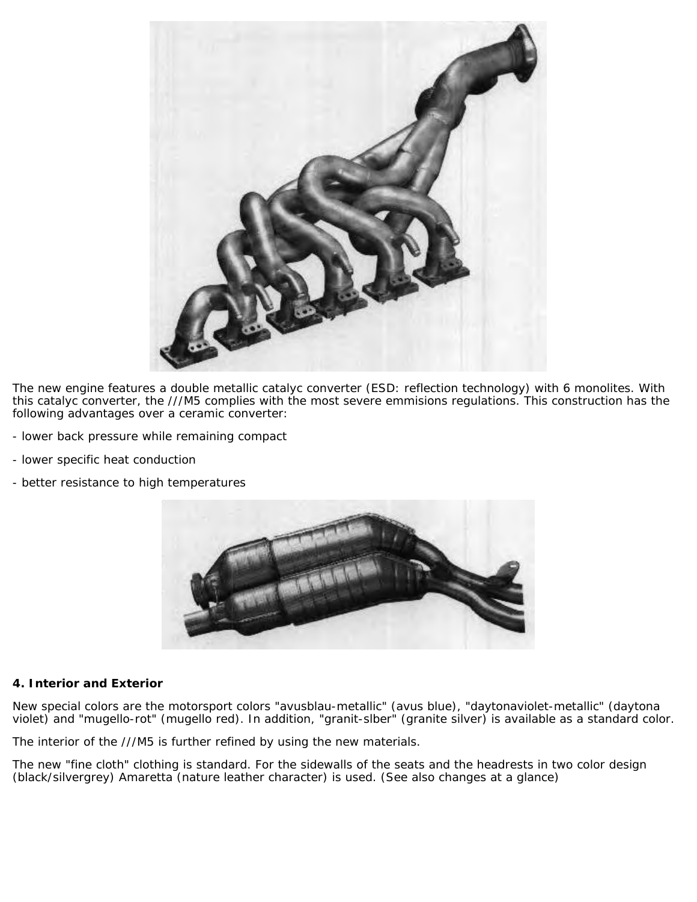

The new engine features a double metallic catalyc converter (ESD: reflection technology) with 6 monolites. With this catalyc converter, the ///M5 complies with the most severe emmisions regulations. This construction has the following advantages over a ceramic converter:

- lower back pressure while remaining compact
- lower specific heat conduction
- better resistance to high temperatures



#### **4. Interior and Exterior**

New special colors are the motorsport colors "avusblau-metallic" (avus blue), "daytonaviolet-metallic" (daytona violet) and "mugello-rot" (mugello red). In addition, "granit-slber" (granite silver) is available as a standard color.

The interior of the ///M5 is further refined by using the new materials.

The new "fine cloth" clothing is standard. For the sidewalls of the seats and the headrests in two color design (black/silvergrey) Amaretta (nature leather character) is used. (See also changes at a glance)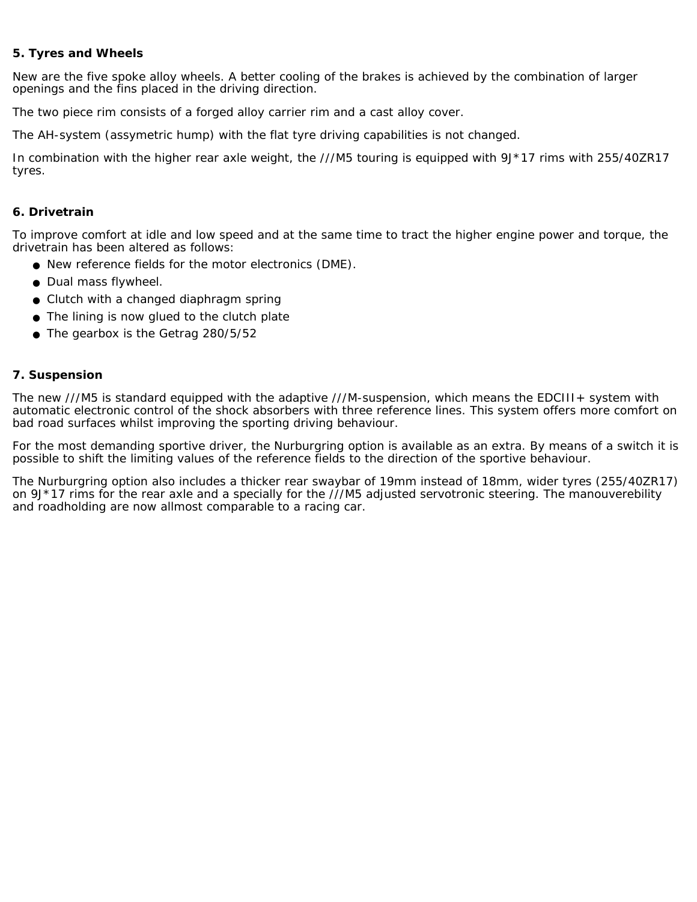# **5. Tyres and Wheels**

New are the five spoke alloy wheels. A better cooling of the brakes is achieved by the combination of larger openings and the fins placed in the driving direction.

The two piece rim consists of a forged alloy carrier rim and a cast alloy cover.

The AH-system (assymetric hump) with the flat tyre driving capabilities is not changed.

In combination with the higher rear axle weight, the ///M5 touring is equipped with 9J\*17 rims with 255/40ZR17 tyres.

#### **6. Drivetrain**

To improve comfort at idle and low speed and at the same time to tract the higher engine power and torque, the drivetrain has been altered as follows:

- New reference fields for the motor electronics (DME).
- Dual mass flywheel.
- Clutch with a changed diaphragm spring
- The lining is now glued to the clutch plate
- $\bullet$  The gearbox is the Getrag 280/5/52

#### **7. Suspension**

The new ///M5 is standard equipped with the adaptive ///M-suspension, which means the EDCIII+ system with automatic electronic control of the shock absorbers with three reference lines. This system offers more comfort on bad road surfaces whilst improving the sporting driving behaviour.

For the most demanding sportive driver, the Nurburgring option is available as an extra. By means of a switch it is possible to shift the limiting values of the reference fields to the direction of the sportive behaviour.

The Nurburgring option also includes a thicker rear swaybar of 19mm instead of 18mm, wider tyres (255/40ZR17) on  $9J*17$  rims for the rear axle and a specially for the  $\frac{\dot{\gamma}}{\gamma}$ M5 adjusted servotronic steering. The manouverebility and roadholding are now allmost comparable to a racing car.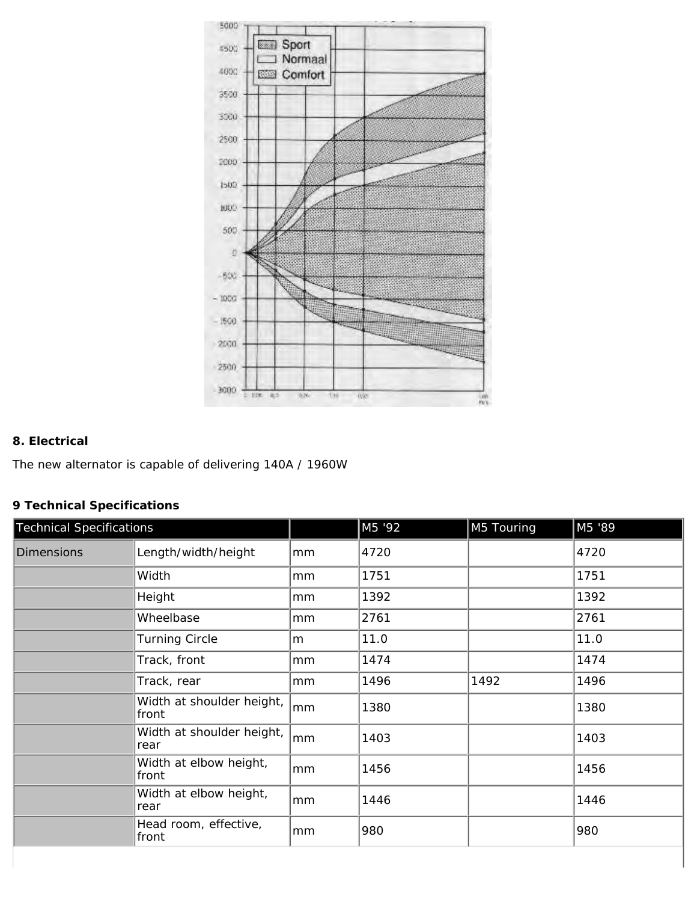

# **8. Electrical**

The new alternator is capable of delivering 140A / 1960W

# **9 Technical Specifications**

| <b>Technical Specifications</b> |                                    |    | M5 '92 | M5 Touring | M5 '89 |
|---------------------------------|------------------------------------|----|--------|------------|--------|
| <b>Dimensions</b>               | Length/width/height                | mm | 4720   |            | 4720   |
|                                 | Width                              | mm | 1751   |            | 1751   |
|                                 | Height                             | mm | 1392   |            | 1392   |
|                                 | Wheelbase                          | mm | 2761   |            | 2761   |
|                                 | <b>Turning Circle</b>              | m  | 11.0   |            | 11.0   |
|                                 | Track, front                       | mm | 1474   |            | 1474   |
|                                 | Track, rear                        | mm | 1496   | 1492       | 1496   |
|                                 | Width at shoulder height,<br>front | mm | 1380   |            | 1380   |
|                                 | Width at shoulder height,<br>rear  | mm | 1403   |            | 1403   |
|                                 | Width at elbow height,<br>front    | mm | 1456   |            | 1456   |
|                                 | Width at elbow height,<br>rear     | mm | 1446   |            | 1446   |
|                                 | Head room, effective,<br>front     | mm | 980    |            | 980    |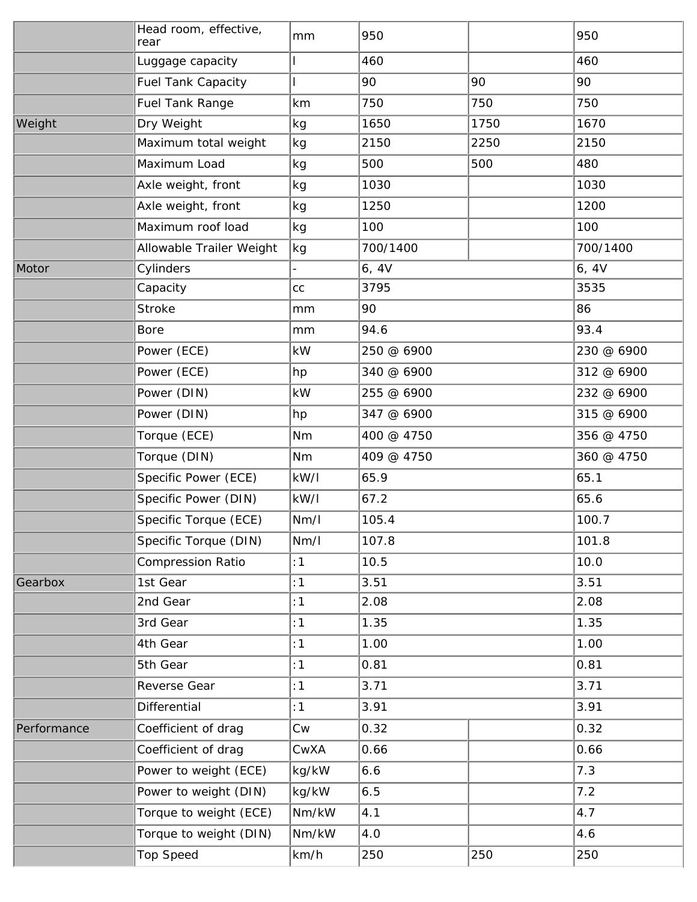|             | Head room, effective,<br>rear   | mm                        | 950        |      | 950        |
|-------------|---------------------------------|---------------------------|------------|------|------------|
|             | Luggage capacity                |                           | 460        |      | 460        |
|             | <b>Fuel Tank Capacity</b>       |                           | 90         | 90   | 90         |
|             | <b>Fuel Tank Range</b>          | km                        | 750        | 750  | 750        |
| Weight      | Dry Weight                      | kg                        | 1650       | 1750 | 1670       |
|             | Maximum total weight            | kg                        | 2150       | 2250 | 2150       |
|             | Maximum Load                    | kg                        | 500        | 500  | 480        |
|             | Axle weight, front              | kg                        | 1030       |      | 1030       |
|             | Axle weight, front              | kg                        | 1250       |      | 1200       |
|             | Maximum roof load               | kg                        | 100        |      | 100        |
|             | <b>Allowable Trailer Weight</b> | kg                        | 700/1400   |      | 700/1400   |
| Motor       | Cylinders                       |                           | 6, 4V      |      | 6, 4V      |
|             | Capacity                        | cc                        | 3795       |      | 3535       |
|             | <b>Stroke</b>                   | mm                        | 90         |      | 86         |
|             | <b>Bore</b>                     | mm                        | 94.6       |      | 93.4       |
|             | Power (ECE)                     | kW                        | 250 @ 6900 |      | 230 @ 6900 |
|             | Power (ECE)                     | hp                        | 340 @ 6900 |      | 312 @ 6900 |
|             | Power (DIN)                     | kW                        | 255 @ 6900 |      | 232 @ 6900 |
|             | Power (DIN)                     | hp                        | 347 @ 6900 |      | 315 @ 6900 |
|             | Torque (ECE)                    | Nm                        | 400 @ 4750 |      | 356 @ 4750 |
|             | Torque (DIN)                    | Nm                        | 409 @ 4750 |      | 360 @ 4750 |
|             | <b>Specific Power (ECE)</b>     | kW/l                      | 65.9       |      | 65.1       |
|             | <b>Specific Power (DIN)</b>     | kW/l                      | 67.2       |      | 65.6       |
|             | <b>Specific Torque (ECE)</b>    | Nm/l                      | 105.4      |      | 100.7      |
|             | Specific Torque (DIN)           | Nm/l                      | 107.8      |      | 101.8      |
|             | <b>Compression Ratio</b>        | :1                        | 10.5       |      | 10.0       |
| Gearbox     | 1st Gear                        | :1                        | 3.51       |      | 3.51       |
|             | 2nd Gear                        | :1                        | 2.08       |      | 2.08       |
|             | 3rd Gear                        | :1                        | 1.35       |      | 1.35       |
|             | 4th Gear                        | :1                        | 1.00       |      | 1.00       |
|             | 5th Gear                        | :1                        | 0.81       |      | 0.81       |
|             | <b>Reverse Gear</b>             | :1                        | 3.71       |      | 3.71       |
|             | <b>Differential</b>             | :1                        | 3.91       |      | 3.91       |
| Performance | Coefficient of drag             | Cw                        | 0.32       |      | 0.32       |
|             | Coefficient of drag             | CwXA                      | 0.66       |      | 0.66       |
|             | Power to weight (ECE)           | kg/kW                     | 6.6        |      | 7.3        |
|             | Power to weight (DIN)           | kg/kW                     | 6.5        |      | 7.2        |
|             | Torque to weight (ECE)          | $\mathrm{Nm}/\mathrm{kW}$ | 4.1        |      | 4.7        |
|             | Torque to weight (DIN)          | $\mathrm{Nm}/\mathrm{kW}$ | 4.0        |      | 4.6        |
|             | <b>Top Speed</b>                | km/h                      | 250        | 250  | 250        |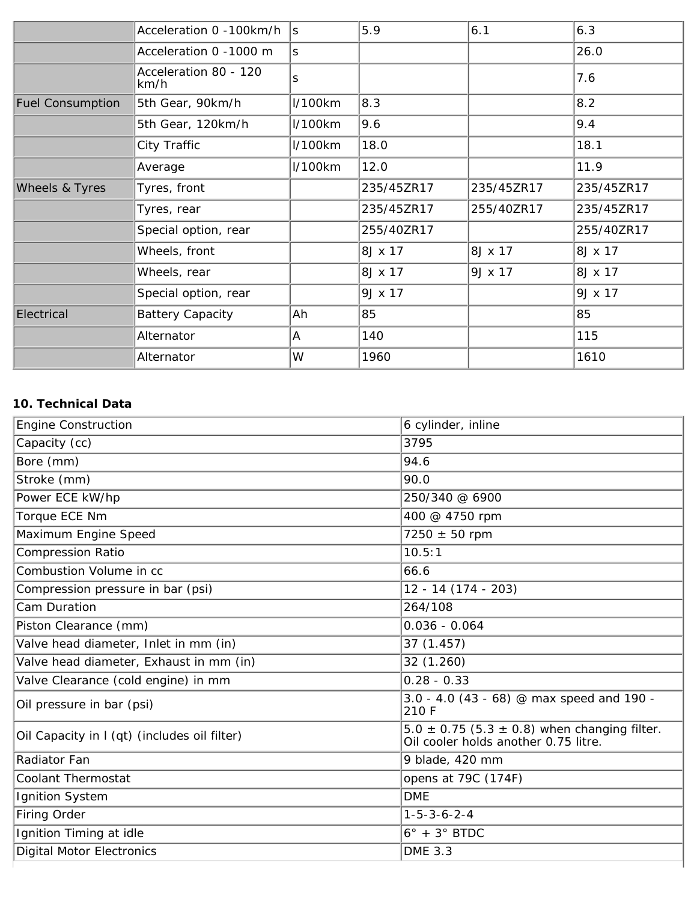|                           | Acceleration 0 -100km/h       | ls           | 5.9        | 6.1        | 6.3        |
|---------------------------|-------------------------------|--------------|------------|------------|------------|
|                           | Acceleration 0 -1000 m        | $\mathbf{s}$ |            |            | 26.0       |
|                           | Acceleration 80 - 120<br>km/h | S            |            |            | 7.6        |
| <b>Fuel Consumption</b>   | 5th Gear, 90km/h              | 1/100km      | 8.3        |            | 8.2        |
|                           | 5th Gear, 120km/h             | 1/100km      | 9.6        |            | 9.4        |
|                           | <b>City Traffic</b>           | l/100km      | 18.0       |            | 18.1       |
|                           | Average                       | 1/100km      | 12.0       |            | 11.9       |
| <b>Wheels &amp; Tyres</b> | Tyres, front                  |              | 235/45ZR17 | 235/45ZR17 | 235/45ZR17 |
|                           | Tyres, rear                   |              | 235/45ZR17 | 255/40ZR17 | 235/45ZR17 |
|                           | Special option, rear          |              | 255/40ZR17 |            | 255/40ZR17 |
|                           | Wheels, front                 |              | 8J x 17    | 8J x 17    | 8J x 17    |
|                           | Wheels, rear                  |              | 8J x 17    | 9J x 17    | 8J x 17    |
|                           | Special option, rear          |              | 9J x 17    |            | 9J x 17    |
| Electrical                | <b>Battery Capacity</b>       | Ah           | 85         |            | 85         |
|                           | <b>Alternator</b>             | A            | 140        |            | 115        |
|                           | <b>Alternator</b>             | W            | 1960       |            | 1610       |

# **10. Technical Data**

| <b>Engine Construction</b>                   | 6 cylinder, inline                                                                           |
|----------------------------------------------|----------------------------------------------------------------------------------------------|
| Capacity (cc)                                | 3795                                                                                         |
| Bore (mm)                                    | 94.6                                                                                         |
| Stroke (mm)                                  | 90.0                                                                                         |
| Power ECE kW/hp                              | 250/340 @ 6900                                                                               |
| <b>Torque ECE Nm</b>                         | 400 @ 4750 rpm                                                                               |
| Maximum Engine Speed                         | $7250 \pm 50$ rpm                                                                            |
| <b>Compression Ratio</b>                     | 10.5:1                                                                                       |
| <b>Combustion Volume in cc</b>               | 66.6                                                                                         |
| Compression pressure in bar (psi)            | $12 - 14(174 - 203)$                                                                         |
| <b>Cam Duration</b>                          | 264/108                                                                                      |
| Piston Clearance (mm)                        | $0.036 - 0.064$                                                                              |
| Valve head diameter, Inlet in mm (in)        | 37 (1.457)                                                                                   |
| Valve head diameter, Exhaust in mm (in)      | 32 (1.260)                                                                                   |
| Valve Clearance (cold engine) in mm          | $0.28 - 0.33$                                                                                |
| Oil pressure in bar (psi)                    | 3.0 - 4.0 (43 - 68) @ max speed and 190 -<br>210 F                                           |
| Oil Capacity in I (qt) (includes oil filter) | $5.0 \pm 0.75$ (5.3 $\pm$ 0.8) when changing filter.<br>Oil cooler holds another 0.75 litre. |
| <b>Radiator Fan</b>                          | 9 blade, 420 mm                                                                              |
| <b>Coolant Thermostat</b>                    | opens at 79C (174F)                                                                          |
| <b>Ignition System</b>                       | <b>DME</b>                                                                                   |
| <b>Firing Order</b>                          | $1 - 5 - 3 - 6 - 2 - 4$                                                                      |
| Ignition Timing at idle                      | $6^\circ + 3^\circ$ BTDC                                                                     |
| <b>Digital Motor Electronics</b>             | <b>DME 3.3</b>                                                                               |